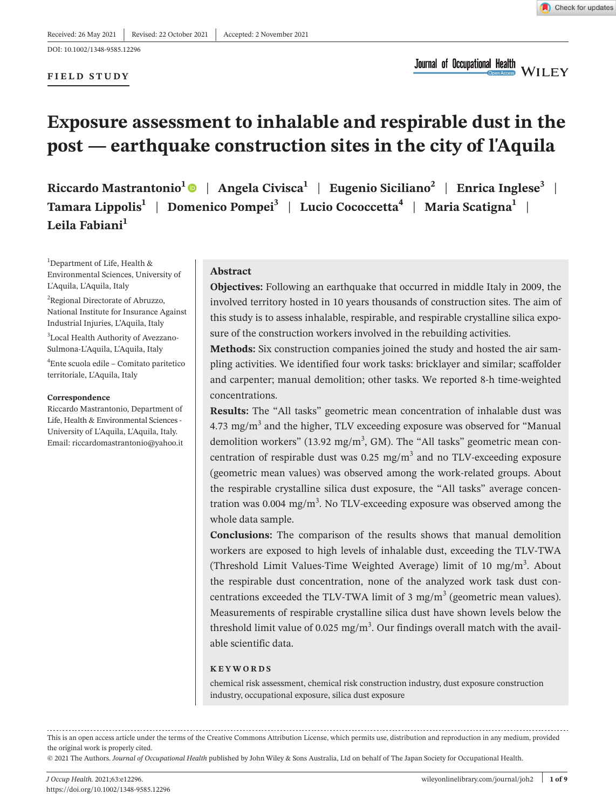**FIELD STUDY**

Check for updates

Journal of Occupational Health<br>Connected WILEY

# **Exposure assessment to inhalable and respirable dust in the post — earthquake construction sites in the city of l'Aquila**

Riccardo Mastrantonio<sup>1</sup> | Angela Civisca<sup>1</sup> | Eugenio Siciliano<sup>2</sup> | Enrica Inglese<sup>3</sup> | **Tamara Lippolis1** | **Domenico Pompei3** | **Lucio Cococcetta4** | **Maria Scatigna1** | **Leila Fabiani<sup>1</sup>**

<sup>1</sup>Department of Life, Health & Environmental Sciences, University of L'Aquila, L'Aquila, Italy

<sup>2</sup>Regional Directorate of Abruzzo, National Institute for Insurance Against Industrial Injuries, L'Aquila, Italy 3 Local Health Authority of Avezzano-Sulmona-L'Aquila, L'Aquila, Italy

4 Ente scuola edile – Comitato paritetico territoriale, L'Aquila, Italy

#### **Correspondence**

Riccardo Mastrantonio, Department of Life, Health & Environmental Sciences - University of L'Aquila, L'Aquila, Italy. Email: [riccardomastrantonio@yahoo.it](mailto:riccardomastrantonio@yahoo.it)

#### **Abstract**

**Objectives:** Following an earthquake that occurred in middle Italy in 2009, the involved territory hosted in 10 years thousands of construction sites. The aim of this study is to assess inhalable, respirable, and respirable crystalline silica exposure of the construction workers involved in the rebuilding activities.

**Methods:** Six construction companies joined the study and hosted the air sampling activities. We identified four work tasks: bricklayer and similar; scaffolder and carpenter; manual demolition; other tasks. We reported 8-h time-weighted concentrations.

**Results:** The "All tasks" geometric mean concentration of inhalable dust was 4.73 mg/m<sup>3</sup> and the higher, TLV exceeding exposure was observed for "Manual demolition workers" (13.92 mg/m<sup>3</sup>, GM). The "All tasks" geometric mean concentration of respirable dust was  $0.25 \text{ mg/m}^3$  and no TLV-exceeding exposure (geometric mean values) was observed among the work-related groups. About the respirable crystalline silica dust exposure, the "All tasks" average concentration was 0.004 mg/m<sup>3</sup>. No TLV-exceeding exposure was observed among the whole data sample.

**Conclusions:** The comparison of the results shows that manual demolition workers are exposed to high levels of inhalable dust, exceeding the TLV-TWA (Threshold Limit Values-Time Weighted Average) limit of 10 mg/m<sup>3</sup>. About the respirable dust concentration, none of the analyzed work task dust concentrations exceeded the TLV-TWA limit of 3 mg/m<sup>3</sup> (geometric mean values). Measurements of respirable crystalline silica dust have shown levels below the threshold limit value of 0.025 mg/m<sup>3</sup>. Our findings overall match with the available scientific data.

#### **KEYWORDS**

chemical risk assessment, chemical risk construction industry, dust exposure construction industry, occupational exposure, silica dust exposure

This is an open access article under the terms of the Creative Commons [Attribution](http://creativecommons.org/licenses/by/4.0/) License, which permits use, distribution and reproduction in any medium, provided the original work is properly cited.

© 2021 The Authors. *Journal of Occupational Health* published by John Wiley & Sons Australia, Ltd on behalf of The Japan Society for Occupational Health.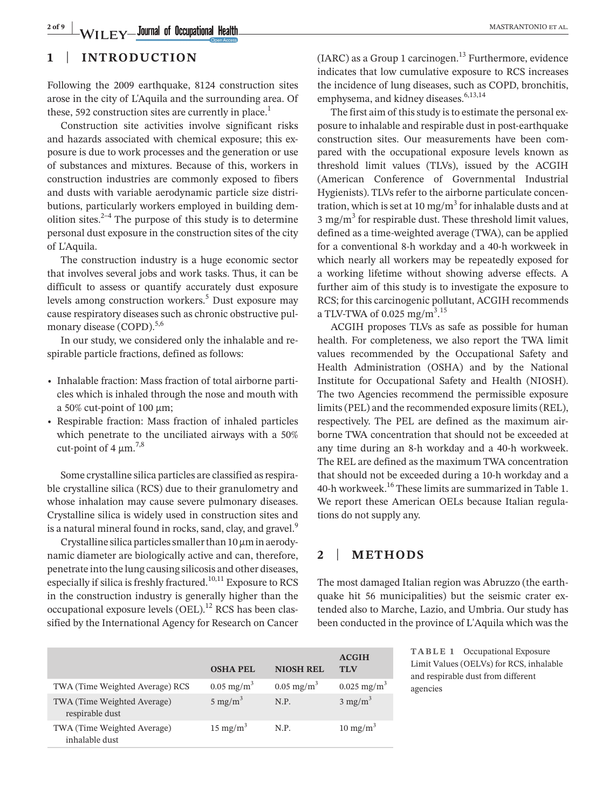**2 of 9 WILEY Journal of Occupational Health COMPRESS ARE:** MASTRANTONIO ET AL.

# **1** | **INTRODUCTION**

Following the 2009 earthquake, 8124 construction sites arose in the city of L'Aquila and the surrounding area. Of these, 592 construction sites are currently in place.<sup>1</sup>

Construction site activities involve significant risks and hazards associated with chemical exposure; this exposure is due to work processes and the generation or use of substances and mixtures. Because of this, workers in construction industries are commonly exposed to fibers and dusts with variable aerodynamic particle size distributions, particularly workers employed in building demolition sites. $2-4$  The purpose of this study is to determine personal dust exposure in the construction sites of the city of L'Aquila.

The construction industry is a huge economic sector that involves several jobs and work tasks. Thus, it can be difficult to assess or quantify accurately dust exposure levels among construction workers.<sup>5</sup> Dust exposure may cause respiratory diseases such as chronic obstructive pulmonary disease (COPD).<sup>5,6</sup>

In our study, we considered only the inhalable and respirable particle fractions, defined as follows:

- Inhalable fraction: Mass fraction of total airborne particles which is inhaled through the nose and mouth with a 50% cut-point of 100  $\mu$ m;
- • Respirable fraction: Mass fraction of inhaled particles which penetrate to the unciliated airways with a 50% cut-point of 4  $\mu$ m.<sup>7,8</sup>

Some crystalline silica particles are classified as respirable crystalline silica (RCS) due to their granulometry and whose inhalation may cause severe pulmonary diseases. Crystalline silica is widely used in construction sites and is a natural mineral found in rocks, sand, clay, and gravel.<sup>9</sup>

Crystalline silica particles smaller than  $10 \mu m$  in aerodynamic diameter are biologically active and can, therefore, penetrate into the lung causing silicosis and other diseases, especially if silica is freshly fractured.<sup>10,11</sup> Exposure to RCS in the construction industry is generally higher than the occupational exposure levels  $(OEL)^{12}$  RCS has been classified by the International Agency for Research on Cancer  $(IARC)$  as a Group 1 carcinogen.<sup>13</sup> Furthermore, evidence indicates that low cumulative exposure to RCS increases the incidence of lung diseases, such as COPD, bronchitis, emphysema, and kidney diseases.<sup>6,13,14</sup>

The first aim of this study is to estimate the personal exposure to inhalable and respirable dust in post-earthquake construction sites. Our measurements have been compared with the occupational exposure levels known as threshold limit values (TLVs), issued by the ACGIH (American Conference of Governmental Industrial Hygienists). TLVs refer to the airborne particulate concentration, which is set at 10 mg/m<sup>3</sup> for inhalable dusts and at  $3 \text{ mg/m}^3$  for respirable dust. These threshold limit values, defined as a time-weighted average (TWA), can be applied for a conventional 8-h workday and a 40-h workweek in which nearly all workers may be repeatedly exposed for a working lifetime without showing adverse effects. A further aim of this study is to investigate the exposure to RCS; for this carcinogenic pollutant, ACGIH recommends a TLV-TWA of  $0.025$  mg/m<sup>3</sup>.<sup>15</sup>

ACGIH proposes TLVs as safe as possible for human health. For completeness, we also report the TWA limit values recommended by the Occupational Safety and Health Administration (OSHA) and by the National Institute for Occupational Safety and Health (NIOSH). The two Agencies recommend the permissible exposure limits(PEL) and the recommended exposure limits(REL), respectively. The PEL are defined as the maximum airborne TWA concentration that should not be exceeded at any time during an 8-h workday and a 40-h workweek. The REL are defined as the maximum TWA concentration that should not be exceeded during a 10-h workday and a 40-h workweek.<sup>16</sup> These limits are summarized in Table 1. We report these American OELs because Italian regulations do not supply any.

# **2** | **METHODS**

The most damaged Italian region was Abruzzo (the earthquake hit 56 municipalities) but the seismic crater extended also to Marche, Lazio, and Umbria. Our study has been conducted in the province of L'Aquila which was the

|                                                | <b>OSHA PEL</b>          | <b>NIOSH REL</b>         | <b>ACGIH</b><br><b>TI</b> <sub>N</sub> |
|------------------------------------------------|--------------------------|--------------------------|----------------------------------------|
| TWA (Time Weighted Average) RCS                | $0.05$ mg/m <sup>3</sup> | $0.05$ mg/m <sup>3</sup> | $0.025$ mg/m <sup>3</sup>              |
| TWA (Time Weighted Average)<br>respirable dust | 5 mg/m <sup>3</sup>      | N.P.                     | $3 \text{ mg/m}^3$                     |
| TWA (Time Weighted Average)<br>inhalable dust  | $15 \text{ mg/m}^3$      | N.P.                     | $10 \text{ mg/m}^3$                    |

**TABLE 1** Occupational Exposure Limit Values (OELVs) for RCS, inhalable and respirable dust from different agencies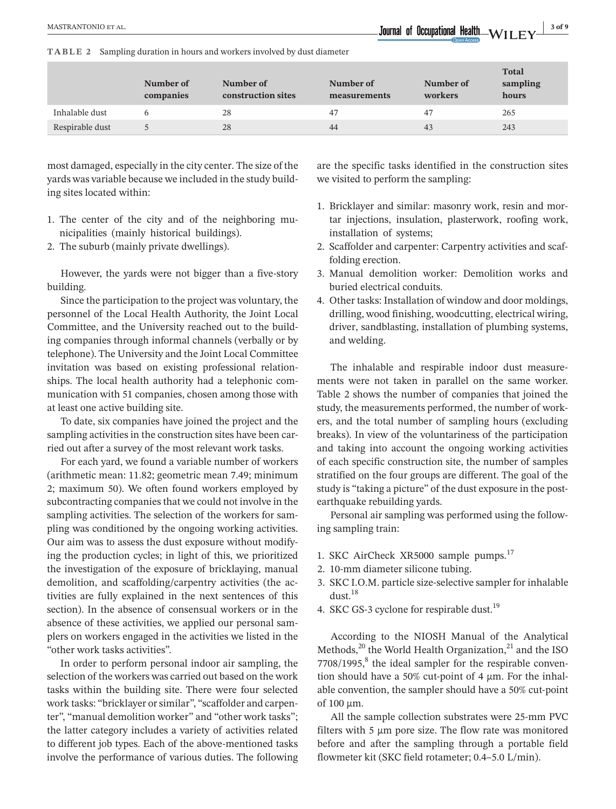**TABLE 2** Sampling duration in hours and workers involved by dust diameter

|                 | Number of<br>companies | Number of<br>construction sites | Number of<br>measurements | Number of<br>workers | <b>Total</b><br>sampling<br>hours |
|-----------------|------------------------|---------------------------------|---------------------------|----------------------|-----------------------------------|
| Inhalable dust  |                        | 28                              | 47                        | 47                   | 265                               |
| Respirable dust |                        | 28                              | 44                        | 43                   | 243                               |

most damaged, especially in the city center. The size of the yards was variable because we included in the study building sites located within:

- 1. The center of the city and of the neighboring municipalities (mainly historical buildings).
- 2. The suburb (mainly private dwellings).

However, the yards were not bigger than a five-story building.

Since the participation to the project was voluntary, the personnel of the Local Health Authority, the Joint Local Committee, and the University reached out to the building companies through informal channels (verbally or by telephone). The University and the Joint Local Committee invitation was based on existing professional relationships. The local health authority had a telephonic communication with 51 companies, chosen among those with at least one active building site.

To date, six companies have joined the project and the sampling activities in the construction sites have been carried out after a survey of the most relevant work tasks.

For each yard, we found a variable number of workers (arithmetic mean: 11.82; geometric mean 7.49; minimum 2; maximum 50). We often found workers employed by subcontracting companies that we could not involve in the sampling activities. The selection of the workers for sampling was conditioned by the ongoing working activities. Our aim was to assess the dust exposure without modifying the production cycles; in light of this, we prioritized the investigation of the exposure of bricklaying, manual demolition, and scaffolding/carpentry activities (the activities are fully explained in the next sentences of this section). In the absence of consensual workers or in the absence of these activities, we applied our personal samplers on workers engaged in the activities we listed in the "other work tasks activities".

In order to perform personal indoor air sampling, the selection of the workers was carried out based on the work tasks within the building site. There were four selected work tasks: "bricklayer or similar", "scaffolder and carpenter", "manual demolition worker" and "other work tasks"; the latter category includes a variety of activities related to different job types. Each of the above-mentioned tasks involve the performance of various duties. The following

are the specific tasks identified in the construction sites we visited to perform the sampling:

- 1. Bricklayer and similar: masonry work, resin and mortar injections, insulation, plasterwork, roofing work, installation of systems;
- 2. Scaffolder and carpenter: Carpentry activities and scaffolding erection.
- 3. Manual demolition worker: Demolition works and buried electrical conduits.
- 4. Other tasks: Installation of window and door moldings, drilling, wood finishing, woodcutting, electrical wiring, driver, sandblasting, installation of plumbing systems, and welding.

The inhalable and respirable indoor dust measurements were not taken in parallel on the same worker. Table 2 shows the number of companies that joined the study, the measurements performed, the number of workers, and the total number of sampling hours (excluding breaks). In view of the voluntariness of the participation and taking into account the ongoing working activities of each specific construction site, the number of samples stratified on the four groups are different. The goal of the study is "taking a picture" of the dust exposure in the postearthquake rebuilding yards.

Personal air sampling was performed using the following sampling train:

- 1. SKC AirCheck XR5000 sample pumps.<sup>17</sup>
- 2. 10-mm diameter silicone tubing.
- 3. SKC I.O.M. particle size-selective sampler for inhalable dust.18
- 4. SKC GS-3 cyclone for respirable dust.<sup>19</sup>

According to the NIOSH Manual of the Analytical Methods, $^{20}$  the World Health Organization, $^{21}$  and the ISO  $7708/1995$ , the ideal sampler for the respirable convention should have a 50% cut-point of 4  $\mu$ m. For the inhalable convention, the sampler should have a 50% cut-point of  $100 \mu m$ .

All the sample collection substrates were 25-mm PVC filters with  $5 \mu m$  pore size. The flow rate was monitored before and after the sampling through a portable field flowmeter kit (SKC field rotameter; 0.4–5.0 L/min).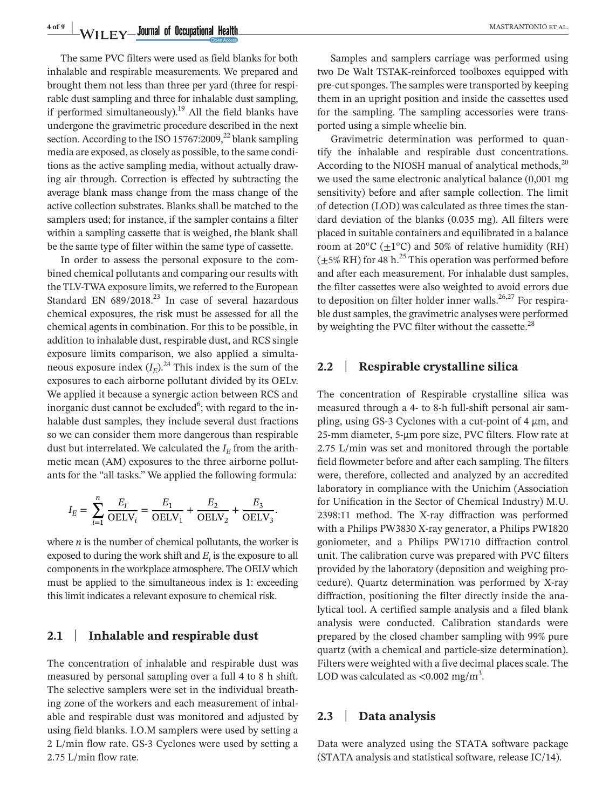**4 of 9 WILEY Journal of Occupational Health MASTRANTONIO** ET AL.

The same PVC filters were used as field blanks for both inhalable and respirable measurements. We prepared and brought them not less than three per yard (three for respirable dust sampling and three for inhalable dust sampling, if performed simultaneously).<sup>19</sup> All the field blanks have undergone the gravimetric procedure described in the next section. According to the ISO 15767:2009, $^{22}$  blank sampling media are exposed, as closely as possible, to the same conditions as the active sampling media, without actually drawing air through. Correction is effected by subtracting the average blank mass change from the mass change of the active collection substrates. Blanks shall be matched to the samplers used; for instance, if the sampler contains a filter within a sampling cassette that is weighed, the blank shall be the same type of filter within the same type of cassette.

In order to assess the personal exposure to the combined chemical pollutants and comparing our results with the TLV-TWA exposure limits, we referred to the European Standard EN  $689/2018$ <sup>23</sup> In case of several hazardous chemical exposures, the risk must be assessed for all the chemical agents in combination. For this to be possible, in addition to inhalable dust, respirable dust, and RCS single exposure limits comparison, we also applied a simultaneous exposure index  $(I_E)^{24}$ . This index is the sum of the exposures to each airborne pollutant divided by its OELv. We applied it because a synergic action between RCS and inorganic dust cannot be excluded<sup>6</sup>; with regard to the inhalable dust samples, they include several dust fractions so we can consider them more dangerous than respirable dust but interrelated. We calculated the  $I<sub>E</sub>$  from the arithmetic mean (AM) exposures to the three airborne pollutants for the "all tasks." We applied the following formula:

$$
I_E = \sum_{i=1}^{n} \frac{E_i}{\text{OELV}_i} = \frac{E_1}{\text{OELV}_1} + \frac{E_2}{\text{OELV}_2} + \frac{E_3}{\text{OELV}_3}.
$$

where  $n$  is the number of chemical pollutants, the worker is exposed to during the work shift and  $E_i$  is the exposure to all components in the workplace atmosphere. The OELV which must be applied to the simultaneous index is 1: exceeding thislimit indicates a relevant exposure to chemical risk.

# **2.1** | **Inhalable and respirable dust**

The concentration of inhalable and respirable dust was measured by personal sampling over a full 4 to 8 h shift. The selective samplers were set in the individual breathing zone of the workers and each measurement of inhalable and respirable dust was monitored and adjusted by using field blanks. I.O.M samplers were used by setting a 2 L/min flow rate. GS-3 Cyclones were used by setting a 2.75 L/min flow rate.

Samples and samplers carriage was performed using two De Walt TSTAK-reinforced toolboxes equipped with pre-cut sponges. The samples were transported by keeping them in an upright position and inside the cassettes used for the sampling. The sampling accessories were transported using a simple wheelie bin.

Gravimetric determination was performed to quantify the inhalable and respirable dust concentrations. According to the NIOSH manual of analytical methods, $^{20}$ we used the same electronic analytical balance (0,001 mg sensitivity) before and after sample collection. The limit of detection (LOD) was calculated as three times the standard deviation of the blanks (0.035 mg). All filters were placed in suitable containers and equilibrated in a balance room at  $20^{\circ}$ C ( $\pm$ 1°C) and 50% of relative humidity (RH)  $(\pm 5\% \text{ RH})$  for 48 h.<sup>25</sup> This operation was performed before and after each measurement. For inhalable dust samples, the filter cassettes were also weighted to avoid errors due to deposition on filter holder inner walls.<sup>26,27</sup> For respirable dust samples, the gravimetric analyses were performed by weighting the PVC filter without the cassette. $^{28}$ 

### **2.2** | **Respirable crystalline silica**

The concentration of Respirable crystalline silica was measured through a 4- to 8-h full-shift personal air sampling, using GS-3 Cyclones with a cut-point of 4  $\mu$ m, and 25-mm diameter, 5-µm pore size, PVC filters. Flow rate at 2.75 L/min was set and monitored through the portable field flowmeter before and after each sampling. The filters were, therefore, collected and analyzed by an accredited laboratory in compliance with the Unichim (Association for Unification in the Sector of Chemical Industry) M.U. 2398:11 method. The X-ray diffraction was performed with a Philips PW3830 X-ray generator, a Philips PW1820 goniometer, and a Philips PW1710 diffraction control unit. The calibration curve was prepared with PVC filters provided by the laboratory (deposition and weighing procedure). Quartz determination was performed by X-ray diffraction, positioning the filter directly inside the analytical tool. A certified sample analysis and a filed blank analysis were conducted. Calibration standards were prepared by the closed chamber sampling with 99% pure quartz (with a chemical and particle-size determination). Filters were weighted with a five decimal places scale. The LOD was calculated as  $\langle 0.002 \text{ mg/m}^3 \rangle$ .

### **2.3** | **Data analysis**

Data were analyzed using the STATA software package (STATA analysis and statistical software, release IC/14).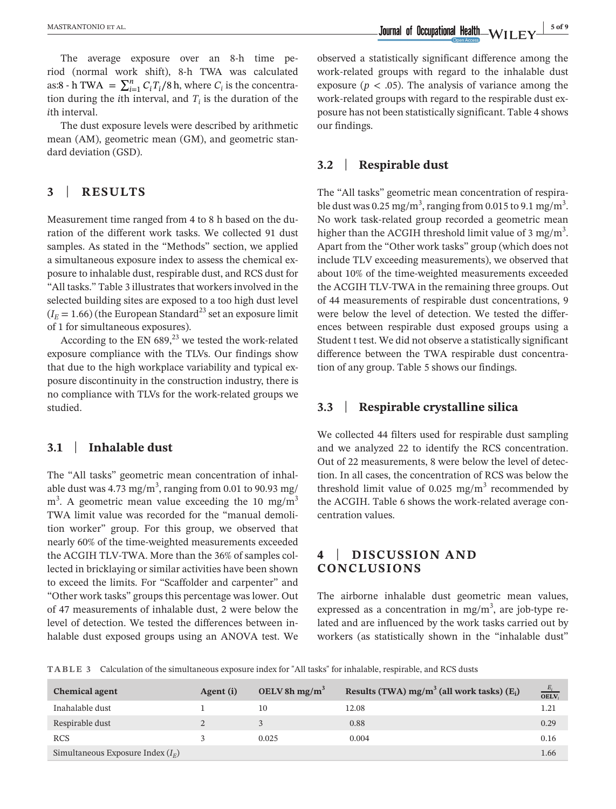The average exposure over an 8-h time period (normal work shift), 8-h TWA was calculated as:8 - h TWA =  $\sum_{i=1}^{n} C_i T_i / 8$  h, where  $C_i$  is the concentration during the *i*th interval, and  $T_i$  is the duration of the *i*th interval.

The dust exposure levels were described by arithmetic mean (AM), geometric mean (GM), and geometric standard deviation (GSD).

# **3** | **RESULTS**

Measurement time ranged from 4 to 8 h based on the duration of the different work tasks. We collected 91 dust samples. As stated in the "Methods" section, we applied a simultaneous exposure index to assess the chemical exposure to inhalable dust, respirable dust, and RCS dust for "All tasks." Table 3 illustrates that workers involved in the selected building sites are exposed to a too high dust level  $(I<sub>E</sub> = 1.66)$  (the European Standard<sup>23</sup> set an exposure limit of 1 for simultaneous exposures).

According to the EN  $689<sup>23</sup>$  we tested the work-related exposure compliance with the TLVs. Our findings show that due to the high workplace variability and typical exposure discontinuity in the construction industry, there is no compliance with TLVs for the work-related groups we studied.

# **3.1** | **Inhalable dust**

The "All tasks" geometric mean concentration of inhalable dust was 4.73 mg/m $^3$ , ranging from 0.01 to 90.93 mg/  $m<sup>3</sup>$ . A geometric mean value exceeding the 10 mg/m<sup>3</sup> TWA limit value was recorded for the "manual demolition worker" group. For this group, we observed that nearly 60% of the time-weighted measurements exceeded the ACGIH TLV-TWA. More than the 36% of samples collected in bricklaying or similar activities have been shown to exceed the limits. For "Scaffolder and carpenter" and "Other work tasks" groups this percentage was lower. Out of 47 measurements of inhalable dust, 2 were below the level of detection. We tested the differences between inhalable dust exposed groups using an ANOVA test. We

observed a statistically significant difference among the work-related groups with regard to the inhalable dust exposure ( $p < .05$ ). The analysis of variance among the work-related groups with regard to the respirable dust exposure has not been statistically significant. Table 4 shows our findings.

## **3.2** | **Respirable dust**

The "All tasks" geometric mean concentration of respirable dust was 0.25 mg/m<sup>3</sup>, ranging from 0.015 to 9.1 mg/m<sup>3</sup>. No work task-related group recorded a geometric mean higher than the ACGIH threshold limit value of 3 mg/m $^3$ . Apart from the "Other work tasks" group (which does not include TLV exceeding measurements), we observed that about 10% of the time-weighted measurements exceeded the ACGIH TLV-TWA in the remaining three groups. Out of 44 measurements of respirable dust concentrations, 9 were below the level of detection. We tested the differences between respirable dust exposed groups using a Student t test. We did not observe a statistically significant difference between the TWA respirable dust concentration of any group. Table 5 shows our findings.

# **3.3** | **Respirable crystalline silica**

We collected 44 filters used for respirable dust sampling and we analyzed 22 to identify the RCS concentration. Out of 22 measurements, 8 were below the level of detection. In all cases, the concentration of RCS was below the threshold limit value of 0.025  $mg/m<sup>3</sup>$  recommended by the ACGIH. Table 6 shows the work-related average concentration values.

# **4** | **DISCUSSION AND CONCLUSIONS**

The airborne inhalable dust geometric mean values, expressed as a concentration in mg/m<sup>3</sup>, are job-type related and are influenced by the work tasks carried out by workers (as statistically shown in the "inhalable dust"

**TABLE 3** Calculation of the simultaneous exposure index for "All tasks" for inhalable, respirable, and RCS dusts

| <b>Chemical agent</b>               | Agent (i) | OELV 8h mg/m <sup>3</sup> | Results (TWA) $mg/m^3$ (all work tasks) $(E_i)$ | $\frac{E_i}{\text{OELV}_i}$ |
|-------------------------------------|-----------|---------------------------|-------------------------------------------------|-----------------------------|
| Inahalable dust                     |           | 10                        | 12.08                                           | 1.21                        |
| Respirable dust                     |           | 3                         | 0.88                                            | 0.29                        |
| <b>RCS</b>                          |           | 0.025                     | 0.004                                           | 0.16                        |
| Simultaneous Exposure Index $(I_F)$ |           |                           |                                                 | 1.66                        |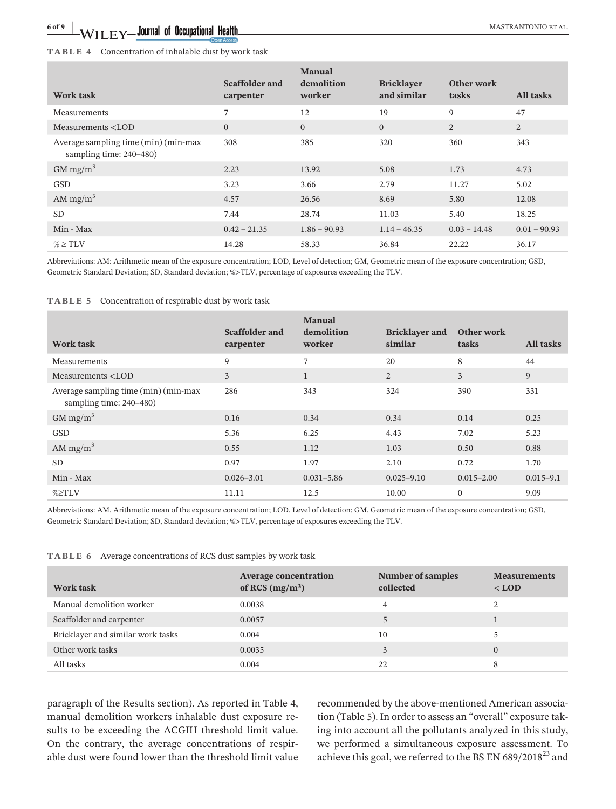### **TABLE 4** Concentration of inhalable dust by work task

| <b>Work task</b>                                                                                                                                                               | Scaffolder and<br>carpenter | .<br>demolition<br>worker | <b>Bricklayer</b><br>and similar | Other work<br>tasks | All tasks      |
|--------------------------------------------------------------------------------------------------------------------------------------------------------------------------------|-----------------------------|---------------------------|----------------------------------|---------------------|----------------|
| Measurements                                                                                                                                                                   | 7                           | 12                        | 19                               | 9                   | 47             |
| Measurements <lod< td=""><td><math>\mathbf{0}</math></td><td><math>\mathbf{0}</math></td><td><math>\overline{0}</math></td><td>2</td><td><math>\overline{2}</math></td></lod<> | $\mathbf{0}$                | $\mathbf{0}$              | $\overline{0}$                   | 2                   | $\overline{2}$ |
| Average sampling time (min) (min-max<br>sampling time: 240-480)                                                                                                                | 308                         | 385                       | 320                              | 360                 | 343            |
| $GM$ mg/m <sup>3</sup>                                                                                                                                                         | 2.23                        | 13.92                     | 5.08                             | 1.73                | 4.73           |
| <b>GSD</b>                                                                                                                                                                     | 3.23                        | 3.66                      | 2.79                             | 11.27               | 5.02           |
| AM mg/m <sup>3</sup>                                                                                                                                                           | 4.57                        | 26.56                     | 8.69                             | 5.80                | 12.08          |
| <b>SD</b>                                                                                                                                                                      | 7.44                        | 28.74                     | 11.03                            | 5.40                | 18.25          |
| Min - Max                                                                                                                                                                      | $0.42 - 21.35$              | $1.86 - 90.93$            | $1.14 - 46.35$                   | $0.03 - 14.48$      | $0.01 - 90.93$ |
| $\% \geq TLV$                                                                                                                                                                  | 14.28                       | 58.33                     | 36.84                            | 22.22               | 36.17          |

Abbreviations: AM: Arithmetic mean of the exposure concentration; LOD, Level of detection; GM, Geometric mean of the exposure concentration; GSD, Geometric Standard Deviation; SD, Standard deviation; %>TLV, percentage of exposures exceeding the TLV.

#### **TABLE 5** Concentration of respirable dust by work task

| Work task                                                                                                | Scaffolder and<br>carpenter | <b>Manual</b><br>demolition<br>worker | <b>Bricklayer and</b><br>similar | Other work<br>tasks | All tasks     |
|----------------------------------------------------------------------------------------------------------|-----------------------------|---------------------------------------|----------------------------------|---------------------|---------------|
| Measurements                                                                                             | 9                           | 7                                     | 20                               | 8                   | 44            |
| Measurements <lod< td=""><td>3</td><td><math>\mathbf{1}</math></td><td>2</td><td>3</td><td>9</td></lod<> | 3                           | $\mathbf{1}$                          | 2                                | 3                   | 9             |
| Average sampling time (min) (min-max<br>sampling time: 240–480)                                          | 286                         | 343                                   | 324                              | 390                 | 331           |
| $GM$ mg/m <sup>3</sup>                                                                                   | 0.16                        | 0.34                                  | 0.34                             | 0.14                | 0.25          |
| <b>GSD</b>                                                                                               | 5.36                        | 6.25                                  | 4.43                             | 7.02                | 5.23          |
| AM $mg/m3$                                                                                               | 0.55                        | 1.12                                  | 1.03                             | 0.50                | 0.88          |
| <b>SD</b>                                                                                                | 0.97                        | 1.97                                  | 2.10                             | 0.72                | 1.70          |
| Min - Max                                                                                                | $0.026 - 3.01$              | $0.031 - 5.86$                        | $0.025 - 9.10$                   | $0.015 - 2.00$      | $0.015 - 9.1$ |
| %≥TLV                                                                                                    | 11.11                       | 12.5                                  | 10.00                            | $\Omega$            | 9.09          |

Abbreviations: AM, Arithmetic mean of the exposure concentration; LOD, Level of detection; GM, Geometric mean of the exposure concentration; GSD, Geometric Standard Deviation; SD, Standard deviation; %>TLV, percentage of exposures exceeding the TLV.

|  |  | <b>TABLE 6</b> Average concentrations of RCS dust samples by work task |
|--|--|------------------------------------------------------------------------|
|--|--|------------------------------------------------------------------------|

| Work task                         | <b>Average concentration</b><br>of RCS $(mg/m3)$ | <b>Number of samples</b><br>collected | <b>Measurements</b><br>$<$ LOD |
|-----------------------------------|--------------------------------------------------|---------------------------------------|--------------------------------|
| Manual demolition worker          | 0.0038                                           | 4                                     |                                |
| Scaffolder and carpenter          | 0.0057                                           |                                       |                                |
| Bricklayer and similar work tasks | 0.004                                            | 10                                    |                                |
| Other work tasks                  | 0.0035                                           | 3                                     | $\Omega$                       |
| All tasks                         | 0.004                                            | 22                                    | 8                              |

paragraph of the Results section). As reported in Table 4, manual demolition workers inhalable dust exposure results to be exceeding the ACGIH threshold limit value. On the contrary, the average concentrations of respirable dust were found lower than the threshold limit value recommended by the above-mentioned American association (Table 5). In order to assess an "overall" exposure taking into account all the pollutants analyzed in this study, we performed a simultaneous exposure assessment. To achieve this goal, we referred to the BS EN  $689/2018^{23}$  and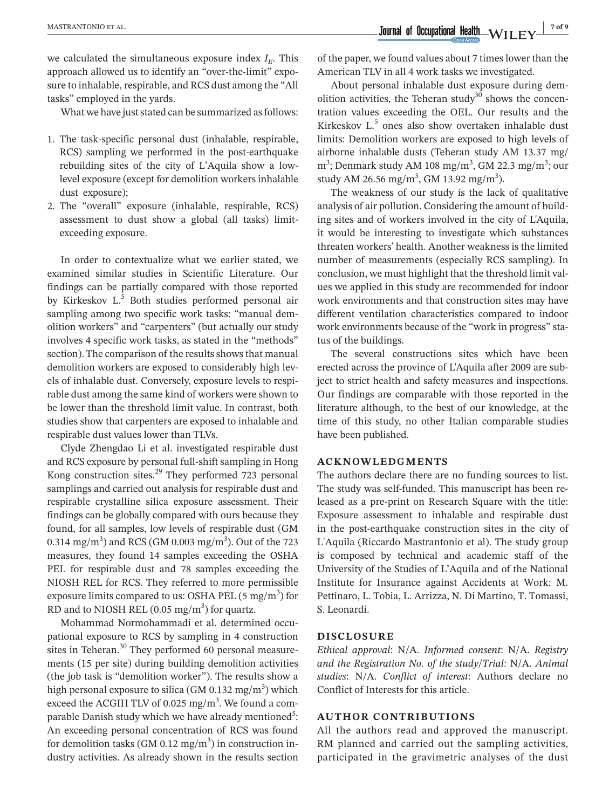we calculated the simultaneous exposure index  $I<sub>E</sub>$ . This approach allowed us to identify an "over-the-limit" exposure to inhalable, respirable, and RCS dust among the "All tasks" employed in the yards.

What we have just stated can be summarized as follows:

- 1. The task-specific personal dust (inhalable, respirable, RCS) sampling we performed in the post-earthquake rebuilding sites of the city of L'Aquila show a lowlevel exposure (except for demolition workers inhalable dust exposure);
- 2. The "overall" exposure (inhalable, respirable, RCS) assessment to dust show a global (all tasks) limitexceeding exposure.

In order to contextualize what we earlier stated, we examined similar studies in Scientific Literature. Our findings can be partially compared with those reported by Kirkeskov L.<sup>5</sup> Both studies performed personal air sampling among two specific work tasks: "manual demolition workers" and "carpenters" (but actually our study involves 4 specific work tasks, as stated in the "methods" section). The comparison of the results shows that manual demolition workers are exposed to considerably high levels of inhalable dust. Conversely, exposure levels to respirable dust among the same kind of workers were shown to be lower than the threshold limit value. In contrast, both studies show that carpenters are exposed to inhalable and respirable dust values lower than TLVs.

Clyde Zhengdao Li et al. investigated respirable dust and RCS exposure by personal full-shift sampling in Hong Kong construction sites.<sup>29</sup> They performed 723 personal samplings and carried out analysis for respirable dust and respirable crystalline silica exposure assessment. Their findings can be globally compared with ours because they found, for all samples, low levels of respirable dust (GM 0.314 mg/m $^3$ ) and RCS (GM 0.003 mg/m $^3$ ). Out of the 723 measures, they found 14 samples exceeding the OSHA PEL for respirable dust and 78 samples exceeding the NIOSH REL for RCS. They referred to more permissible exposure limits compared to us: OSHA PEL (5 mg/m<sup>3</sup>) for RD and to NIOSH REL  $(0.05 \text{ mg/m}^3)$  for quartz.

Mohammad Normohammadi et al. determined occupational exposure to RCS by sampling in 4 construction sites in Teheran.<sup>30</sup> They performed 60 personal measurements (15 per site) during building demolition activities (the job task is "demolition worker"). The results show a high personal exposure to silica (GM 0.132 mg/m $^3)$  which exceed the ACGIH TLV of 0.025 mg/m<sup>3</sup>. We found a comparable Danish study which we have already mentioned<sup>5</sup>: An exceeding personal concentration of RCS was found for demolition tasks (GM 0.12 mg/m<sup>3</sup>) in construction industry activities. As already shown in the results section

of the paper, we found values about 7 times lower than the American TLV in all 4 work tasks we investigated.

About personal inhalable dust exposure during demolition activities, the Teheran study $30$  shows the concentration values exceeding the OEL. Our results and the Kirkeskov L<sup>5</sup> ones also show overtaken inhalable dust limits: Demolition workers are exposed to high levels of airborne inhalable dusts (Teheran study AM 13.37 mg/ m<sup>3</sup>; Denmark study AM 108 mg/m<sup>3</sup>, GM 22.3 mg/m<sup>3</sup>; our study AM 26.56 mg/m<sup>3</sup>, GM 13.92 mg/m<sup>3</sup>).

The weakness of our study is the lack of qualitative analysis of air pollution. Considering the amount of building sites and of workers involved in the city of L'Aquila, it would be interesting to investigate which substances threaten workers' health. Another weakness is the limited number of measurements (especially RCS sampling). In conclusion, we must highlight that the threshold limit values we applied in this study are recommended for indoor work environments and that construction sites may have different ventilation characteristics compared to indoor work environments because of the "work in progress" status of the buildings.

The several constructions sites which have been erected across the province of L'Aquila after 2009 are subject to strict health and safety measures and inspections. Our findings are comparable with those reported in the literature although, to the best of our knowledge, at the time of this study, no other Italian comparable studies have been published.

### **ACKNOWLEDGMENTS**

The authors declare there are no funding sources to list. The study was self-funded. This manuscript has been released as a pre-print on Research Square with the title: Exposure assessment to inhalable and respirable dust in the post-earthquake construction sites in the city of L'Aquila (Riccardo Mastrantonio et al). The study group is composed by technical and academic staff of the University of the Studies of L'Aquila and of the National Institute for Insurance against Accidents at Work: M. Pettinaro, L. Tobia, L. Arrizza, N. Di Martino, T. Tomassi, S. Leonardi.

#### **DISCLOSURE**

*Ethical approval*: N/A. *Informed consent*: N/A. *Registry and the Registration No*. *of the study*/*Trial*: N/A. *Animal studies*: N/A. *Conflict of interest*: Authors declare no Conflict of Interests for this article.

### **AUTHOR CONTRIBUTIONS**

All the authors read and approved the manuscript. RM planned and carried out the sampling activities, participated in the gravimetric analyses of the dust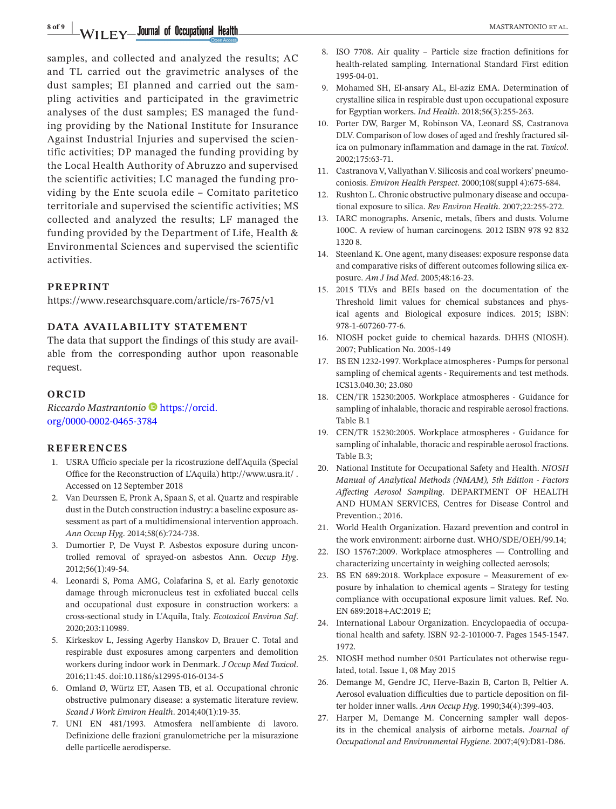**8 of 9 |** MASTRANTONIO et al.

samples, and collected and analyzed the results; AC and TL carried out the gravimetric analyses of the dust samples; EI planned and carried out the sampling activities and participated in the gravimetric analyses of the dust samples; ES managed the funding providing by the National Institute for Insurance Against Industrial Injuries and supervised the scientific activities; DP managed the funding providing by the Local Health Authority of Abruzzo and supervised the scientific activities; LC managed the funding providing by the Ente scuola edile – Comitato paritetico territoriale and supervised the scientific activities; MS collected and analyzed the results; LF managed the funding provided by the Department of Life, Health & Environmental Sciences and supervised the scientific activities.

### **PREPRINT**

<https://www.researchsquare.com/article/rs-7675/v1>

### **DATA AVAILABILITY STATEMENT**

The data that support the findings of this study are available from the corresponding author upon reasonable request.

#### **ORCID**

*Riccardo Mastrantonio* [https://orcid.](https://orcid.org/0000-0002-0465-3784) [org/0000-0002-0465-3784](https://orcid.org/0000-0002-0465-3784)

#### **REFERENCES**

- 1. USRA Ufficio speciale per la ricostruzione dell'Aquila (Special Office for the Reconstruction of L'Aquila) <http://www.usra.it/>. Accessed on 12 September 2018
- 2. Van Deurssen E, Pronk A, Spaan S, et al. Quartz and respirable dust in the Dutch construction industry: a baseline exposure assessment as part of a multidimensional intervention approach. *Ann Occup Hyg*. 2014;58(6):724-738.
- 3. Dumortier P, De Vuyst P. Asbestos exposure during uncontrolled removal of sprayed-on asbestos Ann. *Occup Hyg*. 2012;56(1):49-54.
- 4. Leonardi S, Poma AMG, Colafarina S, et al. Early genotoxic damage through micronucleus test in exfoliated buccal cells and occupational dust exposure in construction workers: a cross-sectional study in L'Aquila, Italy. *Ecotoxicol Environ Saf*. 2020;203:110989.
- 5. Kirkeskov L, Jessing Agerby Hanskov D, Brauer C. Total and respirable dust exposures among carpenters and demolition workers during indoor work in Denmark. *J Occup Med Toxicol*. 2016;11:45. doi[:10.1186/s12995-016-0134-5](https://doi.org/10.1186/s12995-016-0134-5)
- 6. Omland Ø, Würtz ET, Aasen TB, et al. Occupational chronic obstructive pulmonary disease: a systematic literature review. *Scand J Work Environ Health*. 2014;40(1):19-35.
- 7. UNI EN 481/1993. Atmosfera nell'ambiente di lavoro. Definizione delle frazioni granulometriche per la misurazione delle particelle aerodisperse.
- 8. ISO 7708. Air quality Particle size fraction definitions for health-related sampling. International Standard First edition 1995-04-01.
- 9. Mohamed SH, El-ansary AL, El-aziz EMA. Determination of crystalline silica in respirable dust upon occupational exposure for Egyptian workers. *Ind Health*. 2018;56(3):255-263.
- 10. Porter DW, Barger M, Robinson VA, Leonard SS, Castranova DLV. Comparison of low doses of aged and freshly fractured silica on pulmonary inflammation and damage in the rat. *Toxicol*. 2002;175:63-71.
- 11. Castranova V, Vallyathan V. Silicosis and coal workers' pneumoconiosis. *Environ Health Perspect*. 2000;108(suppl 4):675-684.
- 12. Rushton L. Chronic obstructive pulmonary disease and occupational exposure to silica. *Rev Environ Health*. 2007;22:255-272.
- 13. IARC monographs. Arsenic, metals, fibers and dusts. Volume 100C. A review of human carcinogens. 2012 ISBN 978 92 832 1320 8.
- 14. Steenland K. One agent, many diseases: exposure response data and comparative risks of different outcomes following silica exposure. *Am J Ind Med*. 2005;48:16-23.
- 15. 2015 TLVs and BEIs based on the documentation of the Threshold limit values for chemical substances and physical agents and Biological exposure indices. 2015; ISBN: 978-1-607260-77-6.
- 16. NIOSH pocket guide to chemical hazards. DHHS (NIOSH). 2007; Publication No. 2005-149
- 17. BS EN 1232-1997. Workplace atmospheres Pumps for personal sampling of chemical agents - Requirements and test methods. ICS13.040.30; 23.080
- 18. CEN/TR 15230:2005. Workplace atmospheres Guidance for sampling of inhalable, thoracic and respirable aerosol fractions. Table B.1
- 19. CEN/TR 15230:2005. Workplace atmospheres Guidance for sampling of inhalable, thoracic and respirable aerosol fractions. Table B.3;
- 20. National Institute for Occupational Safety and Health. *NIOSH Manual of Analytical Methods (NMAM), 5th Edition - Factors Affecting Aerosol Sampling*. DEPARTMENT OF HEALTH AND HUMAN SERVICES, Centres for Disease Control and Prevention.; 2016.
- 21. World Health Organization. Hazard prevention and control in the work environment: airborne dust. WHO/SDE/OEH/99.14;
- 22. ISO 15767:2009. Workplace atmospheres Controlling and characterizing uncertainty in weighing collected aerosols;
- 23. BS EN 689:2018. Workplace exposure Measurement of exposure by inhalation to chemical agents – Strategy for testing compliance with occupational exposure limit values. Ref. No. EN 689:2018+AC:2019 E;
- 24. International Labour Organization. Encyclopaedia of occupational health and safety. ISBN 92-2-101000-7. Pages 1545-1547. 1972.
- 25. NIOSH method number 0501 Particulates not otherwise regulated, total. Issue 1, 08 May 2015
- 26. Demange M, Gendre JC, Herve-Bazin B, Carton B, Peltier A. Aerosol evaluation difficulties due to particle deposition on filter holder inner walls. *Ann Occup Hyg*. 1990;34(4):399-403.
- 27. Harper M, Demange M. Concerning sampler wall deposits in the chemical analysis of airborne metals. *Journal of Occupational and Environmental Hygiene*. 2007;4(9):D81-D86.